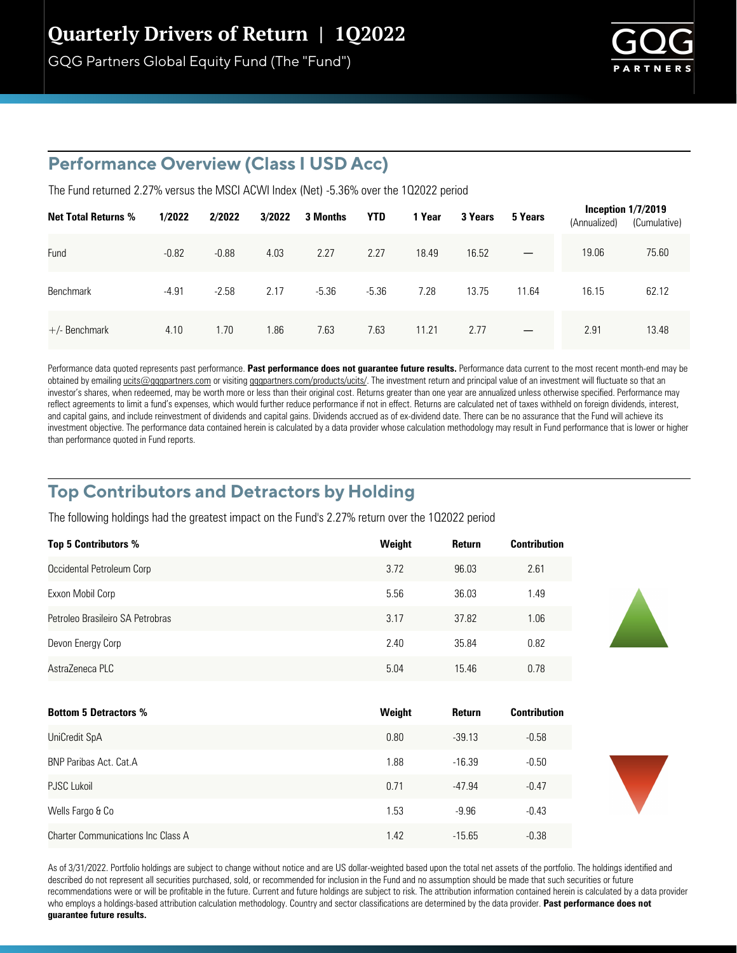# Quarterly Drivers of Return | 1Q2022

GQG Partners Global Equity Fund (The "Fund")



### **Performance Overview (Class I USD Acc)**

The Fund returned 2.27% versus the MSCI ACWI Index (Net) -5.36% over the 1Q2022 period

| <b>Net Total Returns %</b> | 1/2022  | 2/2022  | 3/2022 | 3 Months | <b>YTD</b> | 1 Year | 3 Years | 5 Years                  | (Annualized) | Inception $1/7/2019$<br>(Cumulative) |
|----------------------------|---------|---------|--------|----------|------------|--------|---------|--------------------------|--------------|--------------------------------------|
| Fund                       | $-0.82$ | $-0.88$ | 4.03   | 2.27     | 2.27       | 18.49  | 16.52   | $\overline{\phantom{m}}$ | 19.06        | 75.60                                |
| <b>Benchmark</b>           | $-4.91$ | $-2.58$ | 2.17   | $-5.36$  | $-5.36$    | 7.28   | 13.75   | 11.64                    | 16.15        | 62.12                                |
| $+/-$ Benchmark            | 4.10    | 1.70    | 1.86   | 7.63     | 7.63       | 11.21  | 2.77    | $\overline{\phantom{0}}$ | 2.91         | 13.48                                |

Performance data quoted represents past performance. Past performance does not quarantee future results. Performance data current to the most recent month-end may be obtained by emailing ucits@gqgpartners.com or visiting gqgpartners.com/products/ucits/. The investment return and principal value of an investment will fluctuate so that an investor's shares, when redeemed, may be worth more or less than their original cost. Returns greater than one year are annualized unless otherwise specified. Performance may reflect agreements to limit a fund's expenses, which would further reduce performance if not in effect. Returns are calculated net of taxes withheld on foreign dividends, interest, and capital gains, and include reinvestment of dividends and capital gains. Dividends accrued as of ex-dividend date. There can be no assurance that the Fund will achieve its investment objective. The performance data contained herein is calculated by a data provider whose calculation methodology may result in Fund performance that is lower or higher than performance quoted in Fund reports.

## **Top Contributors and Detractors by Holding**

The following holdings had the greatest impact on the Fund's 2.27% return over the 102022 period

| <b>Top 5 Contributors %</b>      | Weight | Return | <b>Contribution</b> |
|----------------------------------|--------|--------|---------------------|
| Occidental Petroleum Corp        | 3.72   | 96.03  | 2.61                |
| Exxon Mobil Corp                 | 5.56   | 36.03  | 1.49                |
| Petroleo Brasileiro SA Petrobras | 3.17   | 37.82  | 1.06                |
| Devon Energy Corp                | 2.40   | 35.84  | 0.82                |
| AstraZeneca PLC                  | 5.04   | 15.46  | 0.78                |
|                                  |        |        |                     |
| <b>Bottom 5 Detractors %</b>     | Weight | Return | <b>Contribution</b> |

| <b>DULLUIII U DULIUULUI</b> U /U          | <b>vvoigut</b> |          | vviiu isuuvii |
|-------------------------------------------|----------------|----------|---------------|
| UniCredit SpA                             | 0.80           | $-39.13$ | $-0.58$       |
| <b>BNP Paribas Act. Cat.A</b>             | 1.88           | $-16.39$ | $-0.50$       |
| <b>PJSC Lukoil</b>                        | 0.71           | $-47.94$ | $-0.47$       |
| Wells Fargo & Co                          | 1.53           | $-9.96$  | $-0.43$       |
| <b>Charter Communications Inc Class A</b> | 1.42           | $-15.65$ | $-0.38$       |

As of 3/31/2022. Portfolio holdings are subject to change without notice and are US dollar-weighted based upon the total net assets of the portfolio. The holdings identified and described do not represent all securities purchased, sold, or recommended for inclusion in the Fund and no assumption should be made that such securities or future recommendations were or will be profitable in the future. Current and future holdings are subject to risk. The attribution information contained herein is calculated by a data provider who employs a holdings-based attribution calculation methodology. Country and sector classifications are determined by the data provider. **Past performance does not guarantee future results.**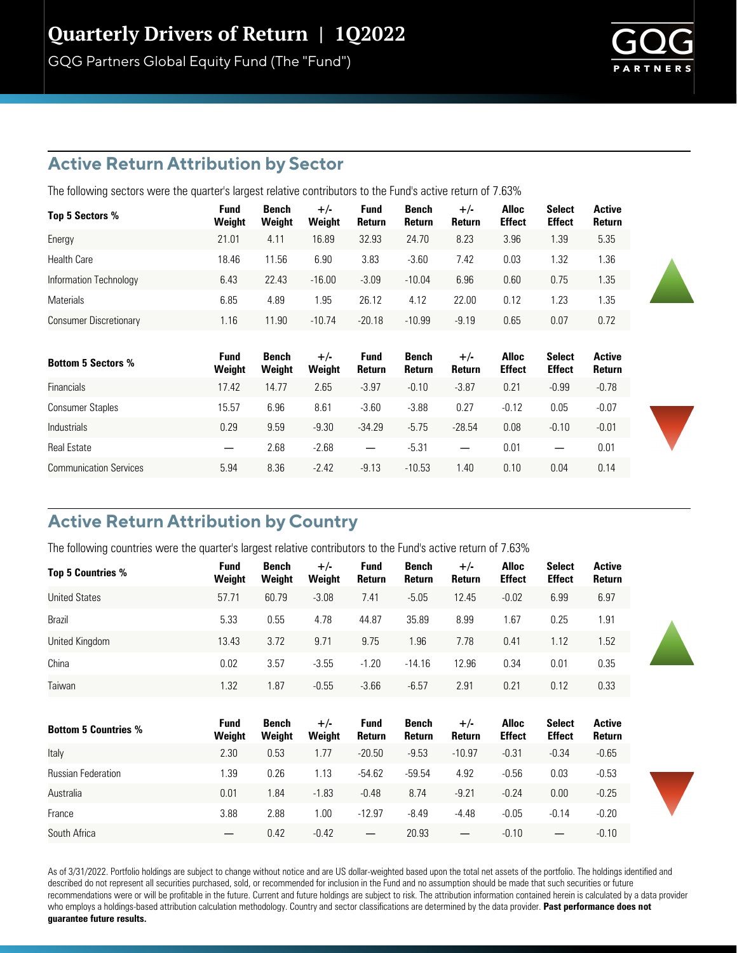# Quarterly Drivers of Return | 1Q2022

GQG Partners Global Equity Fund (The "Fund")

### **Active Return Attribution by Sector**

The following sectors were the quarter's largest relative contributors to the Fund's active return of 7.63%

| Top 5 Sectors %               | Fund<br>Weight | Bench<br>Weight | $+/-$<br>Weight | <b>Fund</b><br><b>Return</b> | Bench<br>Return | $+/-$<br>Return | <b>Alloc</b><br><b>Effect</b> | <b>Select</b><br><b>Effect</b> | <b>Active</b><br>Return |
|-------------------------------|----------------|-----------------|-----------------|------------------------------|-----------------|-----------------|-------------------------------|--------------------------------|-------------------------|
| Energy                        | 21.01          | 4.11            | 16.89           | 32.93                        | 24.70           | 8.23            | 3.96                          | 1.39                           | 5.35                    |
| <b>Health Care</b>            | 18.46          | 11.56           | 6.90            | 3.83                         | $-3.60$         | 7.42            | 0.03                          | 1.32                           | 1.36                    |
| Information Technology        | 6.43           | 22.43           | $-16.00$        | $-3.09$                      | $-10.04$        | 6.96            | 0.60                          | 0.75                           | 1.35                    |
| <b>Materials</b>              | 6.85           | 4.89            | l.95            | 26.12                        | 4.12            | 22.00           | 0.12                          | 1.23                           | 1.35                    |
| <b>Consumer Discretionary</b> | 1.16           | 11.90           | $-10.74$        | $-20.18$                     | $-10.99$        | $-9.19$         | 0.65                          | 0.07                           | 0.72                    |

| <b>Bottom 5 Sectors %</b>     | Fund<br>Weight | Bench<br>Weight | $+/-$<br>Weight | <b>Fund</b><br><b>Return</b> | Bench<br>Return | $+/-$<br><b>Return</b> | <b>Alloc</b><br><b>Effect</b> | <b>Select</b><br><b>Effect</b> | Active<br><b>Return</b> |
|-------------------------------|----------------|-----------------|-----------------|------------------------------|-----------------|------------------------|-------------------------------|--------------------------------|-------------------------|
| <b>Financials</b>             | 17.42          | 14.77           | 2.65            | $-3.97$                      | $-0.10$         | $-3.87$                | 0.21                          | $-0.99$                        | $-0.78$                 |
| <b>Consumer Staples</b>       | 15.57          | 6.96            | 8.61            | $-3.60$                      | $-3.88$         | 0.27                   | $-0.12$                       | 0.05                           | $-0.07$                 |
| <b>Industrials</b>            | 0.29           | 9.59            | $-9.30$         | $-34.29$                     | $-5.75$         | $-28.54$               | 0.08                          | $-0.10$                        | $-0.01$                 |
| <b>Real Estate</b>            |                | 2.68            | $-2.68$         | $\overline{\phantom{m}}$     | $-5.31$         |                        | 0.01                          |                                | 0.01                    |
| <b>Communication Services</b> | 5.94           | 8.36            | $-2.42$         | $-9.13$                      | $-10.53$        | l.40                   | 0.10                          | 0.04                           | 0.14                    |

## **Active Return Attribution by Country**

The following countries were the quarter's largest relative contributors to the Fund's active return of 7.63%

| Top 5 Countries %           | <b>Fund</b><br>Weight | Bench<br>Weight        | $+/-$<br>Weight | <b>Fund</b><br>Return  | Bench<br>Return        | $+/-$<br>Return | <b>Alloc</b><br><b>Effect</b> | <b>Select</b><br><b>Effect</b> | <b>Active</b><br>Return |
|-----------------------------|-----------------------|------------------------|-----------------|------------------------|------------------------|-----------------|-------------------------------|--------------------------------|-------------------------|
| <b>United States</b>        | 57.71                 | 60.79                  | $-3.08$         | 7.41                   | $-5.05$                | 12.45           | $-0.02$                       | 6.99                           | 6.97                    |
| Brazil                      | 5.33                  | 0.55                   | 4.78            | 44.87                  | 35.89                  | 8.99            | 1.67                          | 0.25                           | 1.91                    |
| United Kingdom              | 13.43                 | 3.72                   | 9.71            | 9.75                   | 1.96                   | 7.78            | 0.41                          | 1.12                           | 1.52                    |
| China                       | 0.02                  | 3.57                   | $-3.55$         | $-1.20$                | $-14.16$               | 12.96           | 0.34                          | 0.01                           | 0.35                    |
| Taiwan                      | 1.32                  | 1.87                   | $-0.55$         | $-3.66$                | $-6.57$                | 2.91            | 0.21                          | 0.12                           | 0.33                    |
|                             |                       |                        |                 |                        |                        |                 |                               |                                |                         |
| <b>Bottom 5 Countries %</b> | Fund<br>Weight        | <b>Bench</b><br>Weight | $+/-$<br>Weight | <b>Fund</b><br>Return  | <b>Bench</b><br>Return | $+/-$<br>Return | <b>Alloc</b><br><b>Effect</b> | <b>Select</b><br><b>Effect</b> | <b>Active</b><br>Return |
| Italy                       | 2.30                  | 0.53                   | 1.77            | $-20.50$               | $-9.53$                | $-10.97$        | $-0.31$                       | $-0.34$                        | $-0.65$                 |
| <b>Russian Federation</b>   | 1.39                  | 0.26                   | 1.13            | $-54.62$               | $-59.54$               | 4.92            | $-0.56$                       | 0.03                           | $-0.53$                 |
| Australia                   | 0.01                  | 1.84                   | $-1.83$         | $-0.48$                | 8.74                   | $-9.21$         | $-0.24$                       | 0.00                           | $-0.25$                 |
| France                      | 3.88                  | 2.88                   | 1.00            | $-12.97$               | $-8.49$                | $-4.48$         | $-0.05$                       | $-0.14$                        | $-0.20$                 |
| South Africa                |                       | 0.42                   | $-0.42$         | $\qquad \qquad \qquad$ | 20.93                  |                 | $-0.10$                       |                                | $-0.10$                 |

As of 3/31/2022. Portfolio holdings are subject to change without notice and are US dollar-weighted based upon the total net assets of the portfolio. The holdings identified and described do not represent all securities purchased, sold, or recommended for inclusion in the Fund and no assumption should be made that such securities or future recommendations were or will be profitable in the future. Current and future holdings are subject to risk. The attribution information contained herein is calculated by a data provider who employs a holdings-based attribution calculation methodology. Country and sector classifications are determined by the data provider. **Past performance does not guarantee future results.**

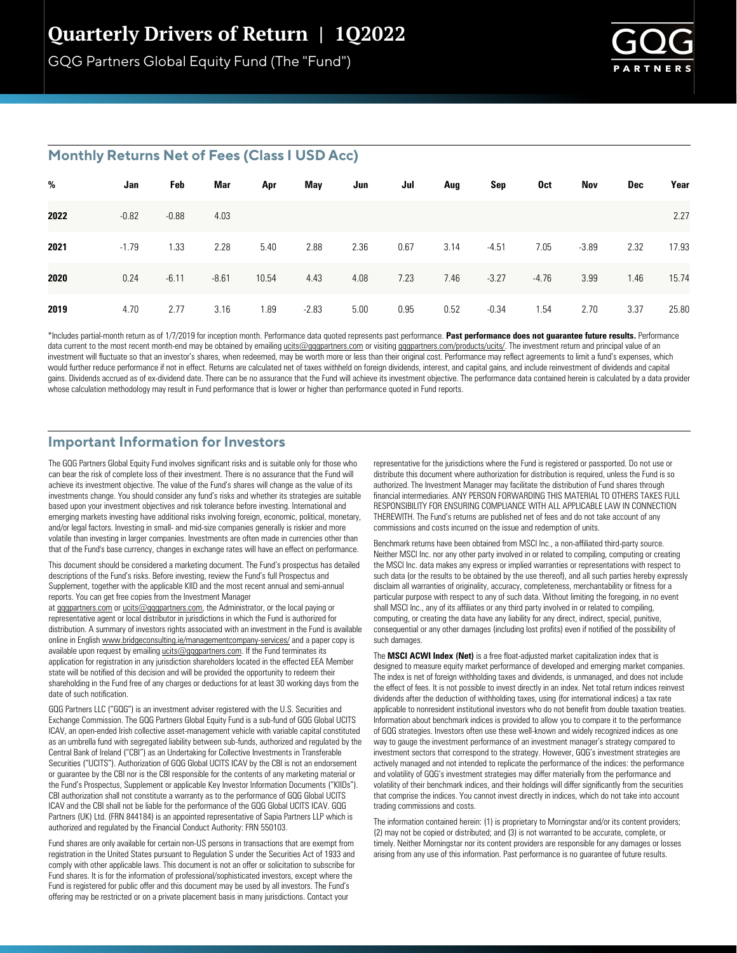## Quarterly Drivers of Return | 1Q2022

GQG Partners Global Equity Fund (The "Fund")



#### **Monthly Returns Net of Fees (Class I USD Acc)**

| %    | Jan     | Feb     | Mar     | Apr   | May     | Jun  | Jul  | Aug  | Sep     | 0ct     | Nov     | Dec  | Year  |
|------|---------|---------|---------|-------|---------|------|------|------|---------|---------|---------|------|-------|
| 2022 | $-0.82$ | $-0.88$ | 4.03    |       |         |      |      |      |         |         |         |      | 2.27  |
| 2021 | $-1.79$ | 1.33    | 2.28    | 5.40  | 2.88    | 2.36 | 0.67 | 3.14 | $-4.51$ | 7.05    | $-3.89$ | 2.32 | 17.93 |
| 2020 | 0.24    | $-6.11$ | $-8.61$ | 10.54 | 4.43    | 4.08 | 7.23 | 7.46 | $-3.27$ | $-4.76$ | 3.99    | 1.46 | 15.74 |
| 2019 | 4.70    | 2.77    | 3.16    | 1.89  | $-2.83$ | 5.00 | 0.95 | 0.52 | $-0.34$ | 1.54    | 2.70    | 3.37 | 25.80 |

\*Includes partial-month return as of 1/7/2019 for inception month. Performance data quoted represents past performance. Past performance does not guarantee future results. Performance data current to the most recent month-end may be obtained by emailing ucits@gqgpartners.com or visiting gqgpartners.com/products/ucits/. The investment return and principal value of an investment will fluctuate so that an investor's shares, when redeemed, may be worth more or less than their original cost. Performance may reflect agreements to limit a fund's expenses, which would further reduce performance if not in effect. Returns are calculated net of taxes withheld on foreign dividends, interest, and capital gains, and include reinvestment of dividends and capital gains. Dividends accrued as of ex-dividend date. There can be no assurance that the Fund will achieve its investment objective. The performance data contained herein is calculated by a data provider whose calculation methodology may result in Fund performance that is lower or higher than performance quoted in Fund reports.

#### **Important Information for Investors**

The GQG Partners Global Equity Fund involves significant risks and is suitable only for those who can bear the risk of complete loss of their investment. There is no assurance that the Fund will achieve its investment objective. The value of the Fund's shares will change as the value of its investments change. You should consider any fund's risks and whether its strategies are suitable based upon your investment objectives and risk tolerance before investing. International and emerging markets investing have additional risks involving foreign, economic, political, monetary, and/or legal factors. Investing in small- and mid-size companies generally is riskier and more volatile than investing in larger companies. Investments are often made in currencies other than that of the Fund's base currency, changes in exchange rates will have an effect on performance.

This document should be considered a marketing document. The Fund's prospectus has detailed descriptions of the Fund's risks. Before investing, review the Fund's full Prospectus and Supplement, together with the applicable KIID and the most recent annual and semi-annual reports. You can get free copies from the Investment Manager

at gqgpartners.com or ucits@gqgpartners.com, the Administrator, or the local paying or representative agent or local distributor in jurisdictions in which the Fund is authorized for distribution. A summary of investors rights associated with an investment in the Fund is available online in English www.bridgeconsulting.ie/managementcompany-services/ and a paper copy is available upon request by emailing  $ucits@qqqqpartners.com$ . If the Fund terminates its application for registration in any jurisdiction shareholders located in the effected EEA Member state will be notified of this decision and will be provided the opportunity to redeem their shareholding in the Fund free of any charges or deductions for at least 30 working days from the date of such notification.

GQG Partners LLC ("GQG") is an investment adviser registered with the U.S. Securities and Exchange Commission. The GQG Partners Global Equity Fund is a sub-fund of GQG Global UCITS ICAV, an open-ended Irish collective asset-management vehicle with variable capital constituted as an umbrella fund with segregated liability between sub-funds, authorized and regulated by the Central Bank of Ireland ("CBI") as an Undertaking for Collective Investments in Transferable Securities ("UCITS"). Authorization of GQG Global UCITS ICAV by the CBI is not an endorsement or guarantee by the CBI nor is the CBI responsible for the contents of any marketing material or the Fund's Prospectus, Supplement or applicable Key Investor Information Documents ("KIIDs"). CBI authorization shall not constitute a warranty as to the performance of GQG Global UCITS ICAV and the CBI shall not be liable for the performance of the GQG Global UCITS ICAV. GQG Partners (UK) Ltd. (FRN 844184) is an appointed representative of Sapia Partners LLP which is authorized and regulated by the Financial Conduct Authority: FRN 550103.

Fund shares are only available for certain non-US persons in transactions that are exempt from registration in the United States pursuant to Regulation S under the Securities Act of 1933 and comply with other applicable laws. This document is not an offer or solicitation to subscribe for Fund shares. It is for the information of professional/sophisticated investors, except where the Fund is registered for public offer and this document may be used by all investors. The Fund's offering may be restricted or on a private placement basis in many jurisdictions. Contact your

representative for the jurisdictions where the Fund is registered or passported. Do not use or distribute this document where authorization for distribution is required, unless the Fund is so authorized. The Investment Manager may facilitate the distribution of Fund shares through financial intermediaries. ANY PERSON FORWARDING THIS MATERIAL TO OTHERS TAKES FULL RESPONSIBILITY FOR ENSURING COMPLIANCE WITH ALL APPLICABLE LAW IN CONNECTION THEREWITH. The Fund's returns are published net of fees and do not take account of any commissions and costs incurred on the issue and redemption of units.

Benchmark returns have been obtained from MSCI Inc., a non-affiliated third-party source. Neither MSCI Inc. nor any other party involved in or related to compiling, computing or creating the MSCI Inc. data makes any express or implied warranties or representations with respect to such data (or the results to be obtained by the use thereof), and all such parties hereby expressly disclaim all warranties of originality, accuracy, completeness, merchantability or fitness for a particular purpose with respect to any of such data. Without limiting the foregoing, in no event shall MSCI Inc., any of its affiliates or any third party involved in or related to compiling, computing, or creating the data have any liability for any direct, indirect, special, punitive, consequential or any other damages (including lost profits) even if notified of the possibility of such damages.

The **MSCI ACWI Index (Net)** is a free float-adjusted market capitalization index that is designed to measure equity market performance of developed and emerging market companies. The index is net of foreign withholding taxes and dividends, is unmanaged, and does not include the effect of fees. It is not possible to invest directly in an index. Net total return indices reinvest dividends after the deduction of withholding taxes, using (for international indices) a tax rate applicable to nonresident institutional investors who do not benefit from double taxation treaties. Information about benchmark indices is provided to allow you to compare it to the performance of GQG strategies. Investors often use these well-known and widely recognized indices as one way to gauge the investment performance of an investment manager's strategy compared to investment sectors that correspond to the strategy. However, GQG's investment strategies are actively managed and not intended to replicate the performance of the indices: the performance and volatility of GQG's investment strategies may differ materially from the performance and volatility of their benchmark indices, and their holdings will differ significantly from the securities that comprise the indices. You cannot invest directly in indices, which do not take into account trading commissions and costs.

The information contained herein: (1) is proprietary to Morningstar and/or its content providers; (2) may not be copied or distributed; and (3) is not warranted to be accurate, complete, or timely. Neither Morningstar nor its content providers are responsible for any damages or losses arising from any use of this information. Past performance is no guarantee of future results.